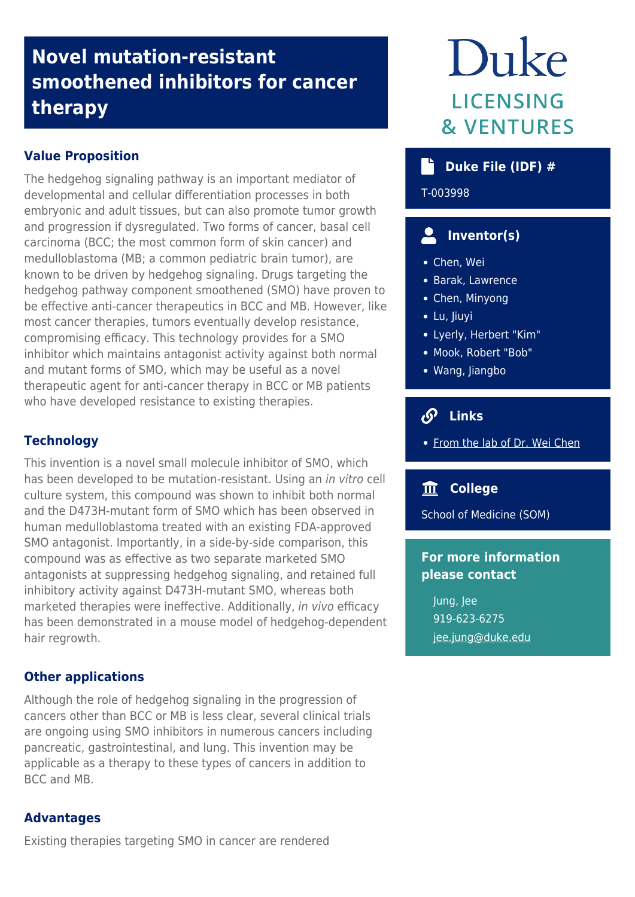## **Novel mutation-resistant smoothened inhibitors for cancer therapy**

## **Value Proposition**

The hedgehog signaling pathway is an important mediator of developmental and cellular differentiation processes in both embryonic and adult tissues, but can also promote tumor growth and progression if dysregulated. Two forms of cancer, basal cell carcinoma (BCC; the most common form of skin cancer) and medulloblastoma (MB; a common pediatric brain tumor), are known to be driven by hedgehog signaling. Drugs targeting the hedgehog pathway component smoothened (SMO) have proven to be effective anti-cancer therapeutics in BCC and MB. However, like most cancer therapies, tumors eventually develop resistance, compromising efficacy. This technology provides for a SMO inhibitor which maintains antagonist activity against both normal and mutant forms of SMO, which may be useful as a novel therapeutic agent for anti-cancer therapy in BCC or MB patients who have developed resistance to existing therapies.

## **Technology**

This invention is a novel small molecule inhibitor of SMO, which has been developed to be mutation-resistant. Using an in vitro cell culture system, this compound was shown to inhibit both normal and the D473H-mutant form of SMO which has been observed in human medulloblastoma treated with an existing FDA-approved SMO antagonist. Importantly, in a side-by-side comparison, this compound was as effective as two separate marketed SMO antagonists at suppressing hedgehog signaling, and retained full inhibitory activity against D473H-mutant SMO, whereas both marketed therapies were ineffective. Additionally, in vivo efficacy has been demonstrated in a mouse model of hedgehog-dependent hair regrowth.

## **Other applications**

Although the role of hedgehog signaling in the progression of cancers other than BCC or MB is less clear, several clinical trials are ongoing using SMO inhibitors in numerous cancers including pancreatic, gastrointestinal, and lung. This invention may be applicable as a therapy to these types of cancers in addition to BCC and MB.

## **Advantages**

Existing therapies targeting SMO in cancer are rendered

# Duke **LICENSING & VENTURES**

## **b** Duke File (IDF) #

T-003998

## **Inventor(s)**

- Chen, Wei
- Barak, Lawrence
- Chen, Minyong
- Lu, Jiuyi
- Lyerly, Herbert "Kim"
- Mook, Robert "Bob"
- Wang, Jiangbo

## **Links**

• [From the lab of Dr. Wei Chen](https://medicine.duke.edu/faculty/wei-chen-phd)

## **College**

School of Medicine (SOM)

## **For more information please contact**

Jung, Jee 919-623-6275 [jee.jung@duke.edu](mailto:jee.jung@duke.edu)